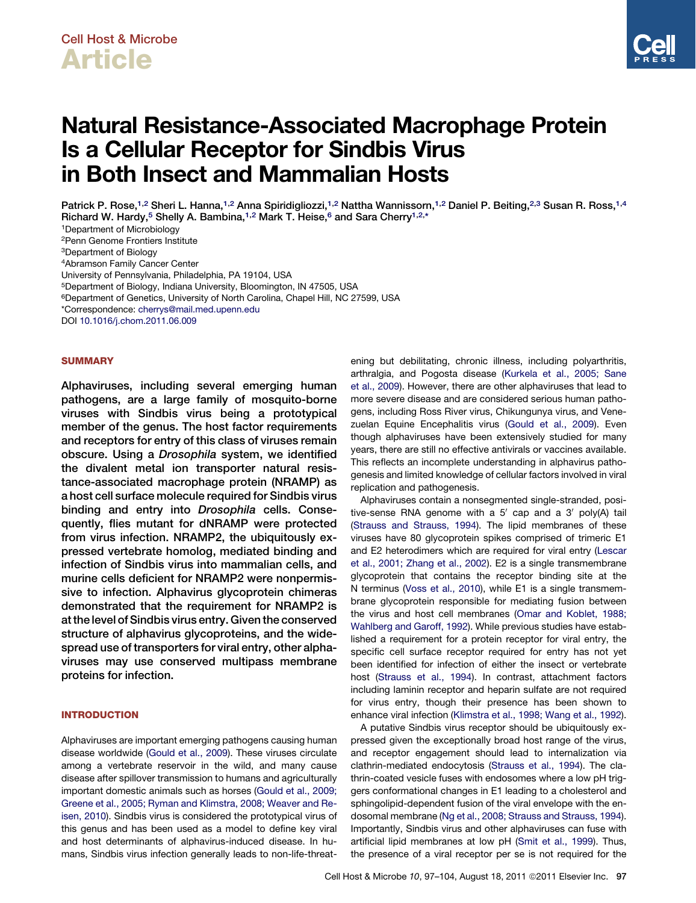# Natural Resistance-Associated Macrophage Protein Is a Cellular Receptor for Sindbis Virus in Both Insect and Mammalian Hosts

Patrick P. Rose,<sup>1,2</sup> Sheri L. Hanna,<sup>1,2</sup> Anna Spiridigliozzi,<sup>1,2</sup> Nattha Wannissorn,<sup>1,2</sup> Daniel P. Beiting,<sup>2,3</sup> Susan R. Ross,<sup>1,4</sup> Richard W. Hardy,<sup>5</sup> Shelly A. Bambina,<sup>1,2</sup> Mark T. Heise,<sup>6</sup> and Sara Cherry<sup>1,2,\*</sup>

1Department of Microbiology

2Penn Genome Frontiers Institute

3Department of Biology

4Abramson Family Cancer Center

University of Pennsylvania, Philadelphia, PA 19104, USA

5Department of Biology, Indiana University, Bloomington, IN 47505, USA

6Department of Genetics, University of North Carolina, Chapel Hill, NC 27599, USA

\*Correspondence: [cherrys@mail.med.upenn.edu](mailto:cherrys@mail.med.upenn.edu)

DOI [10.1016/j.chom.2011.06.009](http://dx.doi.org/10.1016/j.chom.2011.06.009)

## **SUMMARY**

Alphaviruses, including several emerging human pathogens, are a large family of mosquito-borne viruses with Sindbis virus being a prototypical member of the genus. The host factor requirements and receptors for entry of this class of viruses remain obscure. Using a Drosophila system, we identified the divalent metal ion transporter natural resistance-associated macrophage protein (NRAMP) as a host cell surface molecule required for Sindbis virus binding and entry into Drosophila cells. Consequently, flies mutant for dNRAMP were protected from virus infection. NRAMP2, the ubiquitously expressed vertebrate homolog, mediated binding and infection of Sindbis virus into mammalian cells, and murine cells deficient for NRAMP2 were nonpermissive to infection. Alphavirus glycoprotein chimeras demonstrated that the requirement for NRAMP2 is at the level of Sindbis virus entry. Given the conserved structure of alphavirus glycoproteins, and the widespread use of transporters for viral entry, other alphaviruses may use conserved multipass membrane proteins for infection.

# INTRODUCTION

Alphaviruses are important emerging pathogens causing human disease worldwide ([Gould et al., 2009](#page-6-0)). These viruses circulate among a vertebrate reservoir in the wild, and many cause disease after spillover transmission to humans and agriculturally important domestic animals such as horses ([Gould et al., 2009;](#page-6-0) [Greene et al., 2005; Ryman and Klimstra, 2008; Weaver and Re](#page-6-0)[isen, 2010\)](#page-6-0). Sindbis virus is considered the prototypical virus of this genus and has been used as a model to define key viral and host determinants of alphavirus-induced disease. In humans, Sindbis virus infection generally leads to non-life-threatening but debilitating, chronic illness, including polyarthritis, arthralgia, and Pogosta disease [\(Kurkela et al., 2005; Sane](#page-7-0) [et al., 2009](#page-7-0)). However, there are other alphaviruses that lead to more severe disease and are considered serious human pathogens, including Ross River virus, Chikungunya virus, and Venezuelan Equine Encephalitis virus [\(Gould et al., 2009\)](#page-6-0). Even though alphaviruses have been extensively studied for many years, there are still no effective antivirals or vaccines available. This reflects an incomplete understanding in alphavirus pathogenesis and limited knowledge of cellular factors involved in viral replication and pathogenesis.

Alphaviruses contain a nonsegmented single-stranded, positive-sense RNA genome with a  $5'$  cap and a  $3'$  poly(A) tail [\(Strauss and Strauss, 1994\)](#page-7-0). The lipid membranes of these viruses have 80 glycoprotein spikes comprised of trimeric E1 and E2 heterodimers which are required for viral entry ([Lescar](#page-7-0) [et al., 2001; Zhang et al., 2002](#page-7-0)). E2 is a single transmembrane glycoprotein that contains the receptor binding site at the N terminus [\(Voss et al., 2010\)](#page-7-0), while E1 is a single transmembrane glycoprotein responsible for mediating fusion between the virus and host cell membranes [\(Omar and Koblet, 1988;](#page-7-0) [Wahlberg and Garoff, 1992\)](#page-7-0). While previous studies have established a requirement for a protein receptor for viral entry, the specific cell surface receptor required for entry has not yet been identified for infection of either the insect or vertebrate host ([Strauss et al., 1994\)](#page-7-0). In contrast, attachment factors including laminin receptor and heparin sulfate are not required for virus entry, though their presence has been shown to enhance viral infection [\(Klimstra et al., 1998; Wang et al., 1992\)](#page-7-0).

A putative Sindbis virus receptor should be ubiquitously expressed given the exceptionally broad host range of the virus, and receptor engagement should lead to internalization via clathrin-mediated endocytosis [\(Strauss et al., 1994\)](#page-7-0). The clathrin-coated vesicle fuses with endosomes where a low pH triggers conformational changes in E1 leading to a cholesterol and sphingolipid-dependent fusion of the viral envelope with the endosomal membrane [\(Ng et al., 2008; Strauss and Strauss, 1994\)](#page-7-0). Importantly, Sindbis virus and other alphaviruses can fuse with artificial lipid membranes at low pH [\(Smit et al., 1999](#page-7-0)). Thus, the presence of a viral receptor per se is not required for the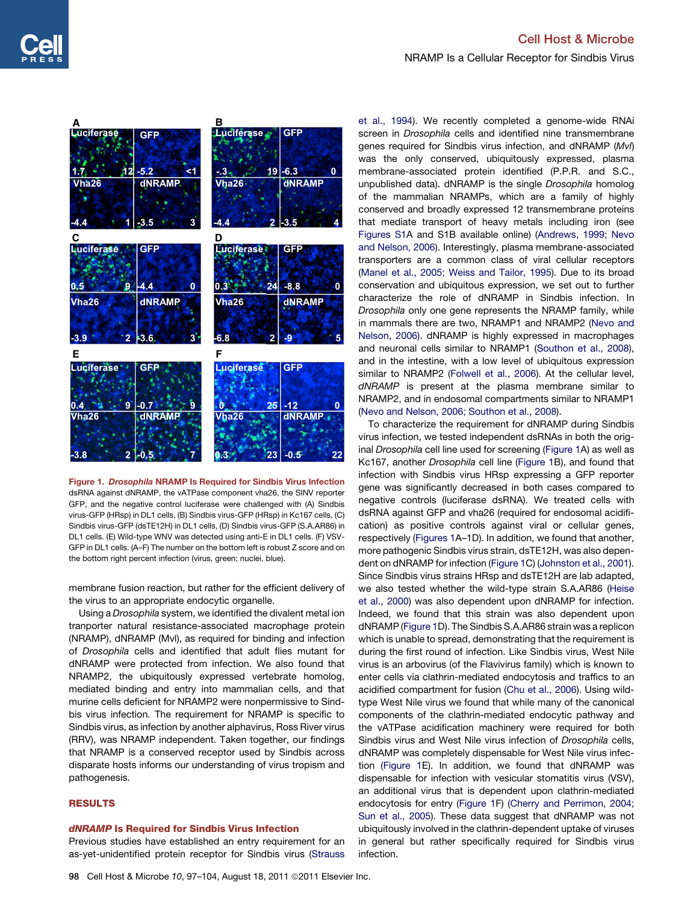

Figure 1. Drosophila NRAMP Is Required for Sindbis Virus Infection dsRNA against dNRAMP, the vATPase component vha26, the SINV reporter GFP, and the negative control luciferase were challenged with (A) Sindbis virus-GFP (HRsp) in DL1 cells, (B) Sindbis virus-GFP (HRsp) in Kc167 cells, (C) Sindbis virus-GFP (dsTE12H) in DL1 cells, (D) Sindbis virus-GFP (S.A.AR86) in DL1 cells. (E) Wild-type WNV was detected using anti-E in DL1 cells. (F) VSV-GFP in DL1 cells. (A–F) The number on the bottom left is robust Z score and on the bottom right percent infection (virus, green; nuclei, blue).

membrane fusion reaction, but rather for the efficient delivery of the virus to an appropriate endocytic organelle.

Using a *Drosophila* system, we identified the divalent metal ion tranporter natural resistance-associated macrophage protein (NRAMP), dNRAMP (Mvl), as required for binding and infection of *Drosophila* cells and identified that adult flies mutant for dNRAMP were protected from infection. We also found that NRAMP2, the ubiquitously expressed vertebrate homolog, mediated binding and entry into mammalian cells, and that murine cells deficient for NRAMP2 were nonpermissive to Sindbis virus infection. The requirement for NRAMP is specific to Sindbis virus, as infection by another alphavirus, Ross River virus (RRV), was NRAMP independent. Taken together, our findings that NRAMP is a conserved receptor used by Sindbis across disparate hosts informs our understanding of virus tropism and pathogenesis.

# RESULTS

# dNRAMP Is Required for Sindbis Virus Infection

Previous studies have established an entry requirement for an as-yet-unidentified protein receptor for Sindbis virus [\(Strauss](#page-7-0)

[et al., 1994\)](#page-7-0). We recently completed a genome-wide RNAi screen in *Drosophila* cells and identified nine transmembrane genes required for Sindbis virus infection, and dNRAMP (*Mvl*) was the only conserved, ubiquitously expressed, plasma membrane-associated protein identified (P.P.R. and S.C., unpublished data). dNRAMP is the single *Drosophila* homolog of the mammalian NRAMPs, which are a family of highly conserved and broadly expressed 12 transmembrane proteins that mediate transport of heavy metals including iron (see [Figures S1](#page-6-0)A and S1B available online) [\(Andrews, 1999; Nevo](#page-6-0) [and Nelson, 2006](#page-6-0)). Interestingly, plasma membrane-associated transporters are a common class of viral cellular receptors [\(Manel et al., 2005; Weiss and Tailor, 1995](#page-7-0)). Due to its broad conservation and ubiquitous expression, we set out to further characterize the role of dNRAMP in Sindbis infection. In *Drosophila* only one gene represents the NRAMP family, while in mammals there are two, NRAMP1 and NRAMP2 ([Nevo and](#page-7-0) [Nelson, 2006\)](#page-7-0). dNRAMP is highly expressed in macrophages and neuronal cells similar to NRAMP1 ([Southon et al., 2008](#page-7-0)), and in the intestine, with a low level of ubiquitous expression similar to NRAMP2 ([Folwell et al., 2006\)](#page-6-0). At the cellular level, *dNRAMP* is present at the plasma membrane similar to NRAMP2, and in endosomal compartments similar to NRAMP1 [\(Nevo and Nelson, 2006; Southon et al., 2008](#page-7-0)).

To characterize the requirement for dNRAMP during Sindbis virus infection, we tested independent dsRNAs in both the original *Drosophila* cell line used for screening (Figure 1A) as well as Kc167, another *Drosophila* cell line (Figure 1B), and found that infection with Sindbis virus HRsp expressing a GFP reporter gene was significantly decreased in both cases compared to negative controls (luciferase dsRNA). We treated cells with dsRNA against GFP and vha26 (required for endosomal acidification) as positive controls against viral or cellular genes, respectively (Figures 1A–1D). In addition, we found that another, more pathogenic Sindbis virus strain, dsTE12H, was also dependent on dNRAMP for infection (Figure 1C) ([Johnston et al., 2001](#page-7-0)). Since Sindbis virus strains HRsp and dsTE12H are lab adapted, we also tested whether the wild-type strain S.A.AR86 ([Heise](#page-7-0) [et al., 2000](#page-7-0)) was also dependent upon dNRAMP for infection. Indeed, we found that this strain was also dependent upon dNRAMP (Figure 1D). The Sindbis S.A.AR86 strain was a replicon which is unable to spread, demonstrating that the requirement is during the first round of infection. Like Sindbis virus, West Nile virus is an arbovirus (of the Flavivirus family) which is known to enter cells via clathrin-mediated endocytosis and traffics to an acidified compartment for fusion [\(Chu et al., 2006\)](#page-6-0). Using wildtype West Nile virus we found that while many of the canonical components of the clathrin-mediated endocytic pathway and the vATPase acidification machinery were required for both Sindbis virus and West Nile virus infection of *Drosophila* cells, dNRAMP was completely dispensable for West Nile virus infection (Figure 1E). In addition, we found that dNRAMP was dispensable for infection with vesicular stomatitis virus (VSV), an additional virus that is dependent upon clathrin-mediated endocytosis for entry (Figure 1F) [\(Cherry and Perrimon, 2004;](#page-6-0) [Sun et al., 2005](#page-6-0)). These data suggest that dNRAMP was not ubiquitously involved in the clathrin-dependent uptake of viruses in general but rather specifically required for Sindbis virus infection.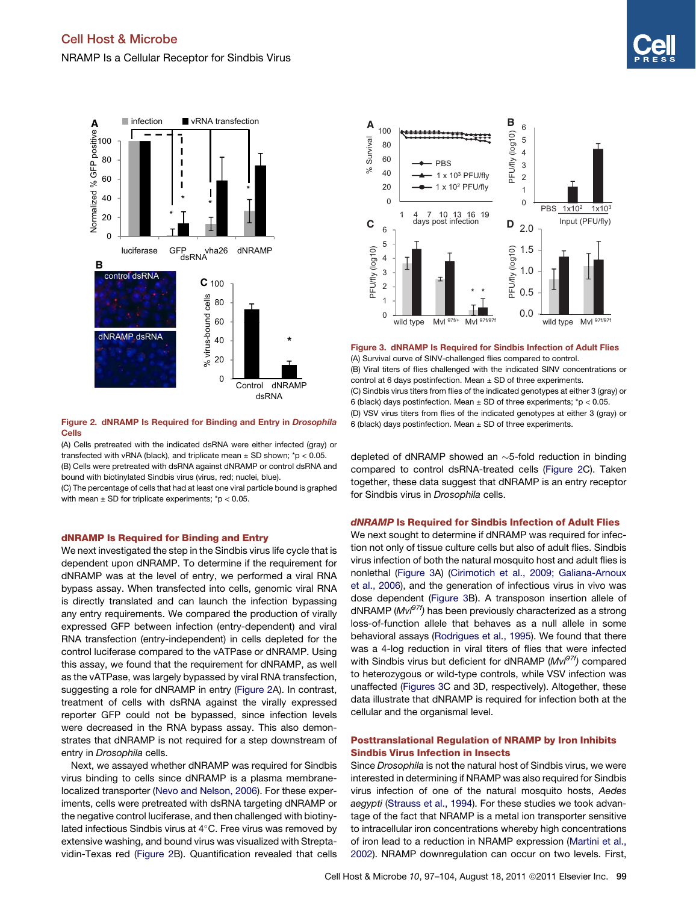

Figure 2. dNRAMP Is Required for Binding and Entry in Drosophila Cells

(A) Cells pretreated with the indicated dsRNA were either infected (gray) or transfected with vRNA (black), and triplicate mean  $\pm$  SD shown; \*p < 0.05. (B) Cells were pretreated with dsRNA against dNRAMP or control dsRNA and bound with biotinylated Sindbis virus (virus, red; nuclei, blue).

(C) The percentage of cells that had at least one viral particle bound is graphed with mean  $\pm$  SD for triplicate experiments; \*p < 0.05.

## dNRAMP Is Required for Binding and Entry

We next investigated the step in the Sindbis virus life cycle that is dependent upon dNRAMP. To determine if the requirement for dNRAMP was at the level of entry, we performed a viral RNA bypass assay. When transfected into cells, genomic viral RNA is directly translated and can launch the infection bypassing any entry requirements. We compared the production of virally expressed GFP between infection (entry-dependent) and viral RNA transfection (entry-independent) in cells depleted for the control luciferase compared to the vATPase or dNRAMP. Using this assay, we found that the requirement for dNRAMP, as well as the vATPase, was largely bypassed by viral RNA transfection, suggesting a role for dNRAMP in entry (Figure 2A). In contrast, treatment of cells with dsRNA against the virally expressed reporter GFP could not be bypassed, since infection levels were decreased in the RNA bypass assay. This also demonstrates that dNRAMP is not required for a step downstream of entry in *Drosophila* cells.

Next, we assayed whether dNRAMP was required for Sindbis virus binding to cells since dNRAMP is a plasma membranelocalized transporter ([Nevo and Nelson, 2006\)](#page-7-0). For these experiments, cells were pretreated with dsRNA targeting dNRAMP or the negative control luciferase, and then challenged with biotinylated infectious Sindbis virus at 4°C. Free virus was removed by extensive washing, and bound virus was visualized with Streptavidin-Texas red (Figure 2B). Quantification revealed that cells



Figure 3. dNRAMP Is Required for Sindbis Infection of Adult Flies (A) Survival curve of SINV-challenged flies compared to control.

(B) Viral titers of flies challenged with the indicated SINV concentrations or control at 6 days postinfection. Mean  $\pm$  SD of three experiments. (C) Sindbis virus titers from flies of the indicated genotypes at either 3 (gray) or 6 (black) days postinfection. Mean  $\pm$  SD of three experiments; \*p < 0.05. (D) VSV virus titers from flies of the indicated genotypes at either 3 (gray) or 6 (black) days postinfection. Mean  $\pm$  SD of three experiments.

depleted of dNRAMP showed an  $\sim$  5-fold reduction in binding compared to control dsRNA-treated cells (Figure 2C). Taken together, these data suggest that dNRAMP is an entry receptor for Sindbis virus in *Drosophila* cells.

## dNRAMP Is Required for Sindbis Infection of Adult Flies

We next sought to determine if dNRAMP was required for infection not only of tissue culture cells but also of adult flies. Sindbis virus infection of both the natural mosquito host and adult flies is nonlethal (Figure 3A) ([Cirimotich et al., 2009; Galiana-Arnoux](#page-6-0) [et al., 2006](#page-6-0)), and the generation of infectious virus in vivo was dose dependent (Figure 3B). A transposon insertion allele of dNRAMP (*Mvl97f)* has been previously characterized as a strong loss-of-function allele that behaves as a null allele in some behavioral assays ([Rodrigues et al., 1995](#page-7-0)). We found that there was a 4-log reduction in viral titers of flies that were infected with Sindbis virus but deficient for dNRAMP (*Mvl97f)* compared to heterozygous or wild-type controls, while VSV infection was unaffected (Figures 3C and 3D, respectively). Altogether, these data illustrate that dNRAMP is required for infection both at the cellular and the organismal level.

# Posttranslational Regulation of NRAMP by Iron Inhibits Sindbis Virus Infection in Insects

Since *Drosophila* is not the natural host of Sindbis virus, we were interested in determining if NRAMP was also required for Sindbis virus infection of one of the natural mosquito hosts, *Aedes aegypti* [\(Strauss et al., 1994](#page-7-0)). For these studies we took advantage of the fact that NRAMP is a metal ion transporter sensitive to intracellular iron concentrations whereby high concentrations of iron lead to a reduction in NRAMP expression ([Martini et al.,](#page-7-0) [2002\)](#page-7-0). NRAMP downregulation can occur on two levels. First,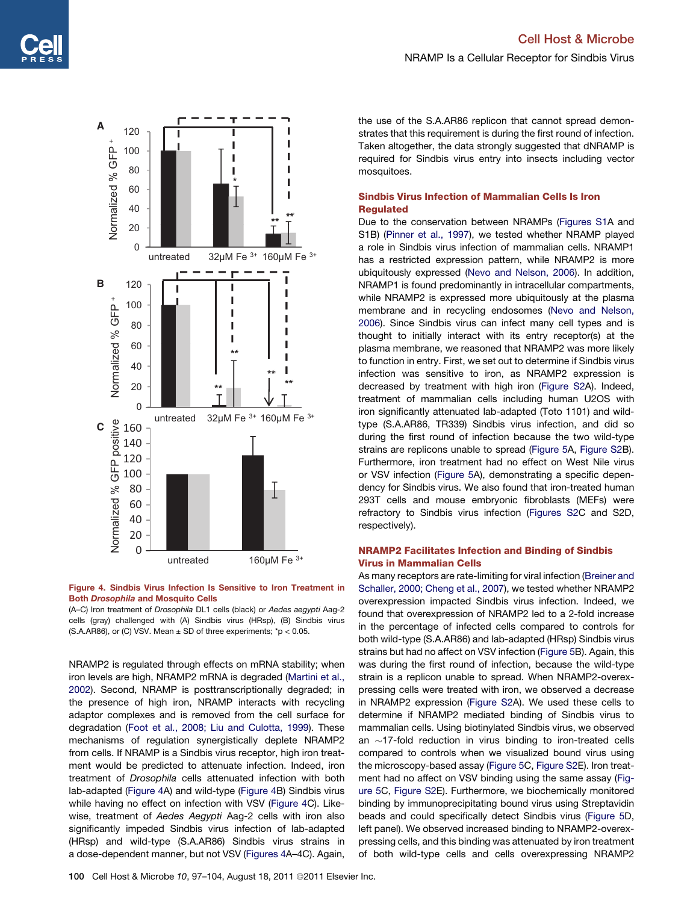

## Figure 4. Sindbis Virus Infection Is Sensitive to Iron Treatment in Both Drosophila and Mosquito Cells

(A–C) Iron treatment of *Drosophila* DL1 cells (black) or *Aedes aegypti* Aag-2 cells (gray) challenged with (A) Sindbis virus (HRsp), (B) Sindbis virus (S.A.AR86), or (C) VSV. Mean  $\pm$  SD of three experiments;  $p < 0.05$ .

NRAMP2 is regulated through effects on mRNA stability; when iron levels are high, NRAMP2 mRNA is degraded ([Martini et al.,](#page-7-0) [2002](#page-7-0)). Second, NRAMP is posttranscriptionally degraded; in the presence of high iron, NRAMP interacts with recycling adaptor complexes and is removed from the cell surface for degradation [\(Foot et al., 2008; Liu and Culotta, 1999\)](#page-6-0). These mechanisms of regulation synergistically deplete NRAMP2 from cells. If NRAMP is a Sindbis virus receptor, high iron treatment would be predicted to attenuate infection. Indeed, iron treatment of *Drosophila* cells attenuated infection with both lab-adapted (Figure 4A) and wild-type (Figure 4B) Sindbis virus while having no effect on infection with VSV (Figure 4C). Likewise, treatment of *Aedes Aegypti* Aag-2 cells with iron also significantly impeded Sindbis virus infection of lab-adapted (HRsp) and wild-type (S.A.AR86) Sindbis virus strains in a dose-dependent manner, but not VSV (Figures 4A–4C). Again,

the use of the S.A.AR86 replicon that cannot spread demonstrates that this requirement is during the first round of infection. Taken altogether, the data strongly suggested that dNRAMP is required for Sindbis virus entry into insects including vector mosquitoes.

# Sindbis Virus Infection of Mammalian Cells Is Iron Regulated

Due to the conservation between NRAMPs ([Figures S1A](#page-6-0) and S1B) ([Pinner et al., 1997\)](#page-7-0), we tested whether NRAMP played a role in Sindbis virus infection of mammalian cells. NRAMP1 has a restricted expression pattern, while NRAMP2 is more ubiquitously expressed ([Nevo and Nelson, 2006](#page-7-0)). In addition, NRAMP1 is found predominantly in intracellular compartments, while NRAMP2 is expressed more ubiquitously at the plasma membrane and in recycling endosomes [\(Nevo and Nelson,](#page-7-0) [2006\)](#page-7-0). Since Sindbis virus can infect many cell types and is thought to initially interact with its entry receptor(s) at the plasma membrane, we reasoned that NRAMP2 was more likely to function in entry. First, we set out to determine if Sindbis virus infection was sensitive to iron, as NRAMP2 expression is decreased by treatment with high iron [\(Figure S2](#page-6-0)A). Indeed, treatment of mammalian cells including human U2OS with iron significantly attenuated lab-adapted (Toto 1101) and wildtype (S.A.AR86, TR339) Sindbis virus infection, and did so during the first round of infection because the two wild-type strains are replicons unable to spread ([Figure 5](#page-4-0)A, [Figure S2](#page-6-0)B). Furthermore, iron treatment had no effect on West Nile virus or VSV infection ([Figure 5A](#page-4-0)), demonstrating a specific dependency for Sindbis virus. We also found that iron-treated human 293T cells and mouse embryonic fibroblasts (MEFs) were refractory to Sindbis virus infection ([Figures S2C](#page-6-0) and S2D, respectively).

# NRAMP2 Facilitates Infection and Binding of Sindbis Virus in Mammalian Cells

As many receptors are rate-limiting for viral infection ([Breiner and](#page-6-0) [Schaller, 2000; Cheng et al., 2007\)](#page-6-0), we tested whether NRAMP2 overexpression impacted Sindbis virus infection. Indeed, we found that overexpression of NRAMP2 led to a 2-fold increase in the percentage of infected cells compared to controls for both wild-type (S.A.AR86) and lab-adapted (HRsp) Sindbis virus strains but had no affect on VSV infection [\(Figure 5B](#page-4-0)). Again, this was during the first round of infection, because the wild-type strain is a replicon unable to spread. When NRAMP2-overexpressing cells were treated with iron, we observed a decrease in NRAMP2 expression [\(Figure S2A](#page-6-0)). We used these cells to determine if NRAMP2 mediated binding of Sindbis virus to mammalian cells. Using biotinylated Sindbis virus, we observed an  $\sim$ 17-fold reduction in virus binding to iron-treated cells compared to controls when we visualized bound virus using the microscopy-based assay [\(Figure 5](#page-4-0)C, [Figure S2E](#page-6-0)). Iron treatment had no affect on VSV binding using the same assay [\(Fig](#page-4-0)[ure 5](#page-4-0)C, [Figure](#page-6-0) S2E). Furthermore, we biochemically monitored binding by immunoprecipitating bound virus using Streptavidin beads and could specifically detect Sindbis virus [\(Figure 5D](#page-4-0), left panel). We observed increased binding to NRAMP2-overexpressing cells, and this binding was attenuated by iron treatment of both wild-type cells and cells overexpressing NRAMP2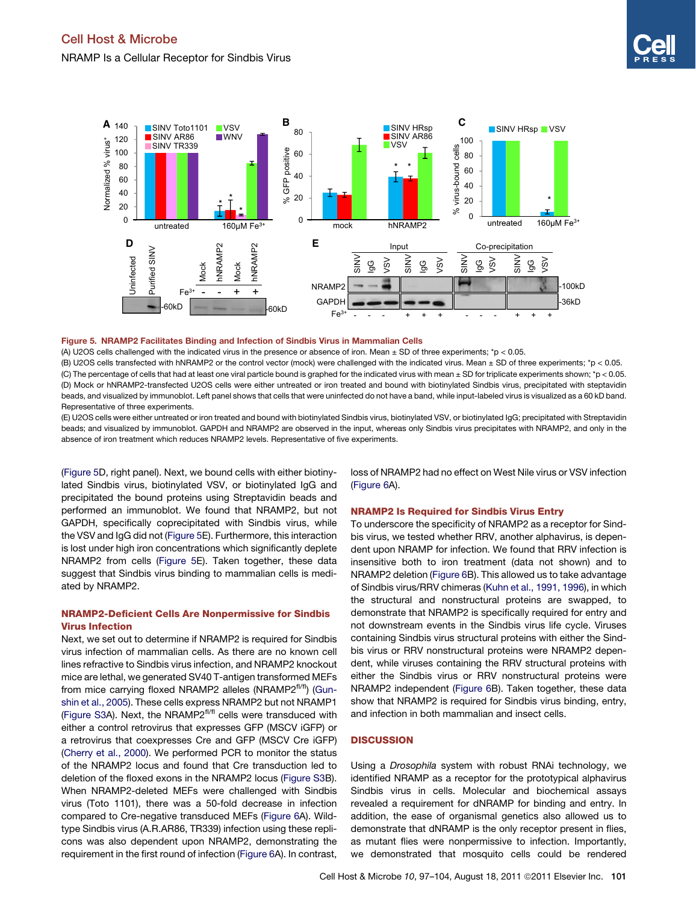<span id="page-4-0"></span>

# Figure 5. NRAMP2 Facilitates Binding and Infection of Sindbis Virus in Mammalian Cells

(A) U2OS cells challenged with the indicated virus in the presence or absence of iron. Mean  $\pm$  SD of three experiments; \*p < 0.05.

(B) U2OS cells transfected with hNRAMP2 or the control vector (mock) were challenged with the indicated virus. Mean ± SD of three experiments; \*p < 0.05. (C) The percentage of cells that had at least one viral particle bound is graphed for the indicated virus with mean  $\pm$  SD for triplicate experiments shown; \*p < 0.05. (D) Mock or hNRAMP2-transfected U2OS cells were either untreated or iron treated and bound with biotinylated Sindbis virus, precipitated with steptavidin beads, and visualized by immunoblot. Left panel shows that cells that were uninfected do not have a band, while input-labeled virus is visualized as a 60 kD band. Representative of three experiments.

(E) U2OS cells were either untreated or iron treated and bound with biotinylated Sindbis virus, biotinylated VSV, or biotinylated IgG; precipitated with Streptavidin beads; and visualized by immunoblot. GAPDH and NRAMP2 are observed in the input, whereas only Sindbis virus precipitates with NRAMP2, and only in the absence of iron treatment which reduces NRAMP2 levels. Representative of five experiments.

(Figure 5D, right panel). Next, we bound cells with either biotinylated Sindbis virus, biotinylated VSV, or biotinylated IgG and precipitated the bound proteins using Streptavidin beads and performed an immunoblot. We found that NRAMP2, but not GAPDH, specifically coprecipitated with Sindbis virus, while the VSV and IgG did not (Figure 5E). Furthermore, this interaction is lost under high iron concentrations which significantly deplete NRAMP2 from cells (Figure 5E). Taken together, these data suggest that Sindbis virus binding to mammalian cells is mediated by NRAMP2.

# NRAMP2-Deficient Cells Are Nonpermissive for Sindbis Virus Infection

Next, we set out to determine if NRAMP2 is required for Sindbis virus infection of mammalian cells. As there are no known cell lines refractive to Sindbis virus infection, and NRAMP2 knockout mice are lethal, we generated SV40 T-antigen transformed MEFs from mice carrying floxed NRAMP2 alleles (NRAMP2<sup>fl/fl</sup>) [\(Gun](#page-7-0)[shin et al., 2005\)](#page-7-0). These cells express NRAMP2 but not NRAMP1 [\(Figure S3A](#page-6-0)). Next, the NRAMP2<sup>fl/fl</sup> cells were transduced with either a control retrovirus that expresses GFP (MSCV iGFP) or a retrovirus that coexpresses Cre and GFP (MSCV Cre iGFP) [\(Cherry et al., 2000](#page-6-0)). We performed PCR to monitor the status of the NRAMP2 locus and found that Cre transduction led to deletion of the floxed exons in the NRAMP2 locus ([Figure S3B](#page-6-0)). When NRAMP2-deleted MEFs were challenged with Sindbis virus (Toto 1101), there was a 50-fold decrease in infection compared to Cre-negative transduced MEFs ([Figure 6A](#page-5-0)). Wildtype Sindbis virus (A.R.AR86, TR339) infection using these replicons was also dependent upon NRAMP2, demonstrating the requirement in the first round of infection ([Figure 6](#page-5-0)A). In contrast, loss of NRAMP2 had no effect on West Nile virus or VSV infection [\(Figure 6](#page-5-0)A).

## NRAMP2 Is Required for Sindbis Virus Entry

To underscore the specificity of NRAMP2 as a receptor for Sindbis virus, we tested whether RRV, another alphavirus, is dependent upon NRAMP for infection. We found that RRV infection is insensitive both to iron treatment (data not shown) and to NRAMP2 deletion ([Figure 6](#page-5-0)B). This allowed us to take advantage of Sindbis virus/RRV chimeras [\(Kuhn et al., 1991, 1996](#page-7-0)), in which the structural and nonstructural proteins are swapped, to demonstrate that NRAMP2 is specifically required for entry and not downstream events in the Sindbis virus life cycle. Viruses containing Sindbis virus structural proteins with either the Sindbis virus or RRV nonstructural proteins were NRAMP2 dependent, while viruses containing the RRV structural proteins with either the Sindbis virus or RRV nonstructural proteins were NRAMP2 independent ([Figure 6](#page-5-0)B). Taken together, these data show that NRAMP2 is required for Sindbis virus binding, entry, and infection in both mammalian and insect cells.

# **DISCUSSION**

Using a *Drosophila* system with robust RNAi technology, we identified NRAMP as a receptor for the prototypical alphavirus Sindbis virus in cells. Molecular and biochemical assays revealed a requirement for dNRAMP for binding and entry. In addition, the ease of organismal genetics also allowed us to demonstrate that dNRAMP is the only receptor present in flies, as mutant flies were nonpermissive to infection. Importantly, we demonstrated that mosquito cells could be rendered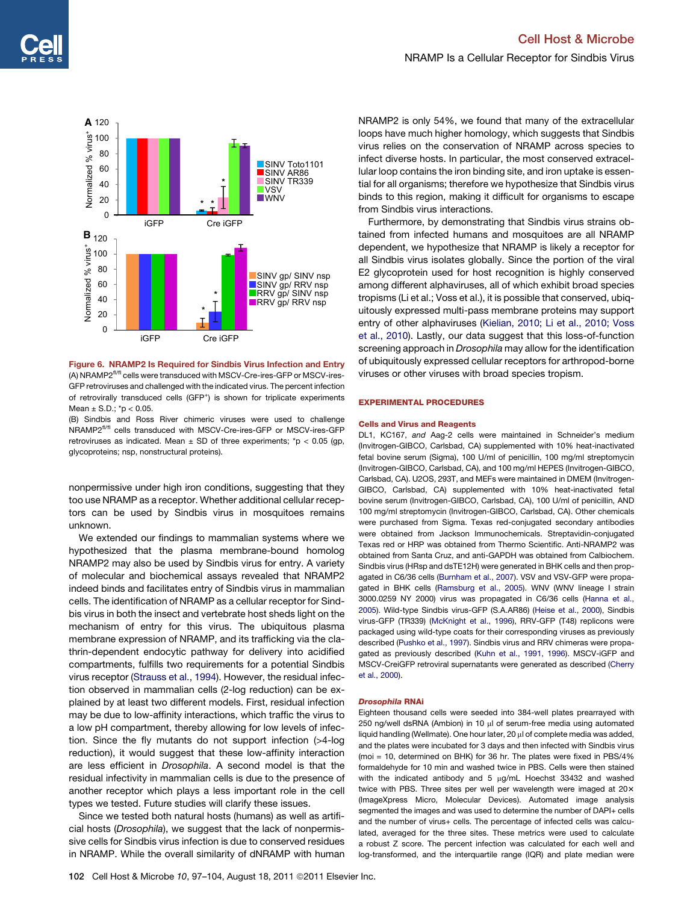<span id="page-5-0"></span>

Figure 6. NRAMP2 Is Required for Sindbis Virus Infection and Entry (A) NRAMP2<sup>fl/fl</sup> cells were transduced with MSCV-Cre-ires-GFP or MSCV-ires-GFP retroviruses and challenged with the indicated virus. The percent infection of retrovirally transduced cells (GFP<sup>+</sup>) is shown for triplicate experiments Mean  $\pm$  S.D.;  $*$ p < 0.05.

(B) Sindbis and Ross River chimeric viruses were used to challenge NRAMP2<sup>fl/fl</sup> cells transduced with MSCV-Cre-ires-GFP or MSCV-ires-GFP retroviruses as indicated. Mean  $\pm$  SD of three experiments; \*p < 0.05 (qp, glycoproteins; nsp, nonstructural proteins).

nonpermissive under high iron conditions, suggesting that they too use NRAMP as a receptor. Whether additional cellular receptors can be used by Sindbis virus in mosquitoes remains unknown.

We extended our findings to mammalian systems where we hypothesized that the plasma membrane-bound homolog NRAMP2 may also be used by Sindbis virus for entry. A variety of molecular and biochemical assays revealed that NRAMP2 indeed binds and facilitates entry of Sindbis virus in mammalian cells. The identification of NRAMP as a cellular receptor for Sindbis virus in both the insect and vertebrate host sheds light on the mechanism of entry for this virus. The ubiquitous plasma membrane expression of NRAMP, and its trafficking via the clathrin-dependent endocytic pathway for delivery into acidified compartments, fulfills two requirements for a potential Sindbis virus receptor ([Strauss et al., 1994](#page-7-0)). However, the residual infection observed in mammalian cells (2-log reduction) can be explained by at least two different models. First, residual infection may be due to low-affinity interactions, which traffic the virus to a low pH compartment, thereby allowing for low levels of infection. Since the fly mutants do not support infection (>4-log reduction), it would suggest that these low-affinity interaction are less efficient in *Drosophila*. A second model is that the residual infectivity in mammalian cells is due to the presence of another receptor which plays a less important role in the cell types we tested. Future studies will clarify these issues.

Since we tested both natural hosts (humans) as well as artificial hosts (*Drosophila*), we suggest that the lack of nonpermissive cells for Sindbis virus infection is due to conserved residues in NRAMP. While the overall similarity of dNRAMP with human

NRAMP2 is only 54%, we found that many of the extracellular loops have much higher homology, which suggests that Sindbis virus relies on the conservation of NRAMP across species to infect diverse hosts. In particular, the most conserved extracellular loop contains the iron binding site, and iron uptake is essential for all organisms; therefore we hypothesize that Sindbis virus binds to this region, making it difficult for organisms to escape from Sindbis virus interactions.

Furthermore, by demonstrating that Sindbis virus strains obtained from infected humans and mosquitoes are all NRAMP dependent, we hypothesize that NRAMP is likely a receptor for all Sindbis virus isolates globally. Since the portion of the viral E2 glycoprotein used for host recognition is highly conserved among different alphaviruses, all of which exhibit broad species tropisms (Li et al.; Voss et al.), it is possible that conserved, ubiquitously expressed multi-pass membrane proteins may support entry of other alphaviruses ([Kielian, 2010; Li et al., 2010; Voss](#page-7-0) [et al., 2010\)](#page-7-0). Lastly, our data suggest that this loss-of-function screening approach in *Drosophila* may allow for the identification of ubiquitously expressed cellular receptors for arthropod-borne viruses or other viruses with broad species tropism.

#### EXPERIMENTAL PROCEDURES

#### Cells and Virus and Reagents

DL1, KC167, *and* Aag-2 cells were maintained in Schneider's medium (Invitrogen-GIBCO, Carlsbad, CA) supplemented with 10% heat-inactivated fetal bovine serum (Sigma), 100 U/ml of penicillin, 100 mg/ml streptomycin (Invitrogen-GIBCO, Carlsbad, CA), and 100 mg/ml HEPES (Invitrogen-GIBCO, Carlsbad, CA). U2OS, 293T, and MEFs were maintained in DMEM (Invitrogen-GIBCO, Carlsbad, CA) supplemented with 10% heat-inactivated fetal bovine serum (Invitrogen-GIBCO, Carlsbad, CA), 100 U/ml of penicillin, AND 100 mg/ml streptomycin (Invitrogen-GIBCO, Carlsbad, CA). Other chemicals were purchased from Sigma. Texas red-conjugated secondary antibodies were obtained from Jackson Immunochemicals. Streptavidin-conjugated Texas red or HRP was obtained from Thermo Scientific. Anti-NRAMP2 was obtained from Santa Cruz, and anti-GAPDH was obtained from Calbiochem. Sindbis virus (HRsp and dsTE12H) were generated in BHK cells and then propagated in C6/36 cells ([Burnham et al., 2007\)](#page-6-0). VSV and VSV-GFP were propagated in BHK cells [\(Ramsburg et al., 2005](#page-7-0)). WNV (WNV lineage I strain 3000.0259 NY 2000) virus was propagated in C6/36 cells [\(Hanna et al.,](#page-7-0) [2005](#page-7-0)). Wild-type Sindbis virus-GFP (S.A.AR86) ([Heise et al., 2000](#page-7-0)), Sindbis virus-GFP (TR339) [\(McKnight et al., 1996](#page-7-0)), RRV-GFP (T48) replicons were packaged using wild-type coats for their corresponding viruses as previously described ([Pushko et al., 1997](#page-7-0)). Sindbis virus and RRV chimeras were propagated as previously described [\(Kuhn et al., 1991, 1996](#page-7-0)). MSCV-iGFP and MSCV-CreiGFP retroviral supernatants were generated as described [\(Cherry](#page-6-0) [et al., 2000](#page-6-0)).

#### Drosophila RNAi

Eighteen thousand cells were seeded into 384-well plates prearrayed with 250 ng/well dsRNA (Ambion) in 10 µl of serum-free media using automated liquid handling (Wellmate). One hour later, 20 µl of complete media was added, and the plates were incubated for 3 days and then infected with Sindbis virus (moi = 10, determined on BHK) for 36 hr. The plates were fixed in PBS/4% formaldehyde for 10 min and washed twice in PBS. Cells were then stained with the indicated antibody and 5  $\mu$ g/mL Hoechst 33432 and washed twice with PBS. Three sites per well per wavelength were imaged at  $20 \times$ (ImageXpress Micro, Molecular Devices). Automated image analysis segmented the images and was used to determine the number of DAPI+ cells and the number of virus+ cells. The percentage of infected cells was calculated, averaged for the three sites. These metrics were used to calculate a robust Z score. The percent infection was calculated for each well and log-transformed, and the interquartile range (IQR) and plate median were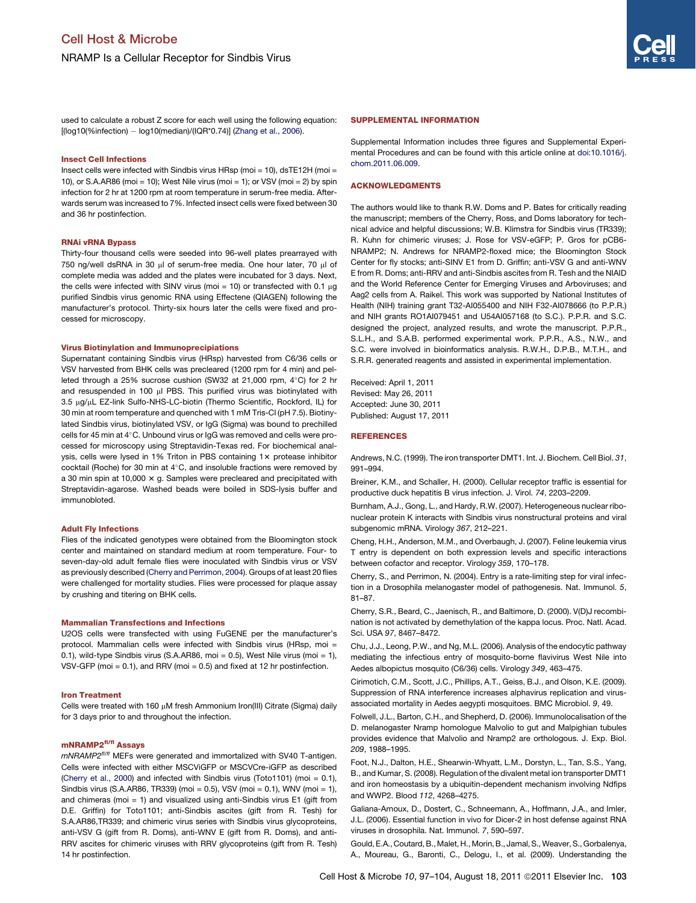<span id="page-6-0"></span>used to calculate a robust Z score for each well using the following equation:  $[$ (log10(%infection) - log10(median)/(IQR\*0.74)] ([Zhang et al., 2006](#page-7-0)).

#### Insect Cell Infections

Insect cells were infected with Sindbis virus HRsp (moi = 10), dsTE12H (moi = 10), or S.A.AR86 (moi = 10); West Nile virus (moi = 1); or VSV (moi = 2) by spin infection for 2 hr at 1200 rpm at room temperature in serum-free media. Afterwards serum was increased to 7%. Infected insect cells were fixed between 30 and 36 hr postinfection.

#### RNAi vRNA Bypass

Thirty-four thousand cells were seeded into 96-well plates prearrayed with 750 ng/well dsRNA in 30 µl of serum-free media. One hour later, 70 µl of complete media was added and the plates were incubated for 3 days. Next, the cells were infected with SINV virus (moi = 10) or transfected with 0.1  $\mu$ g purified Sindbis virus genomic RNA using Effectene (QIAGEN) following the manufacturer's protocol. Thirty-six hours later the cells were fixed and processed for microscopy.

## Virus Biotinylation and Immunoprecipiations

Supernatant containing Sindbis virus (HRsp) harvested from C6/36 cells or VSV harvested from BHK cells was precleared (1200 rpm for 4 min) and pelleted through a 25% sucrose cushion (SW32 at 21,000 rpm, 4°C) for 2 hr and resuspended in 100 µl PBS. This purified virus was biotinylated with 3.5 µg/µL EZ-link Sulfo-NHS-LC-biotin (Thermo Scientific, Rockford, IL) for 30 min at room temperature and quenched with 1 mM Tris-Cl (pH 7.5). Biotinylated Sindbis virus, biotinylated VSV, or IgG (Sigma) was bound to prechilled cells for 45 min at 4°C. Unbound virus or IgG was removed and cells were processed for microscopy using Streptavidin-Texas red. For biochemical analysis, cells were lysed in 1% Triton in PBS containing 1x protease inhibitor cocktail (Roche) for 30 min at 4°C, and insoluble fractions were removed by a 30 min spin at 10,000  $\times$  g. Samples were precleared and precipitated with Streptavidin-agarose. Washed beads were boiled in SDS-lysis buffer and immunobloted.

## Adult Fly Infections

Flies of the indicated genotypes were obtained from the Bloomington stock center and maintained on standard medium at room temperature. Four- to seven-day-old adult female flies were inoculated with Sindbis virus or VSV as previously described (Cherry and Perrimon, 2004). Groups of at least 20 flies were challenged for mortality studies. Flies were processed for plaque assay by crushing and titering on BHK cells.

## Mammalian Transfections and Infections

U2OS cells were transfected with using FuGENE per the manufacturer's protocol. Mammalian cells were infected with Sindbis virus (HRsp, moi = 0.1), wild-type Sindbis virus (S.A.AR86, moi = 0.5), West Nile virus (moi = 1), VSV-GFP (moi = 0.1), and RRV (moi = 0.5) and fixed at 12 hr postinfection.

#### Iron Treatment

Cells were treated with 160 µM fresh Ammonium Iron(III) Citrate (Sigma) daily for 3 days prior to and throughout the infection.

# mNRAMP2<sup>fl/fl</sup> Assays

*mNRAMP2fl/fl* MEFs were generated and immortalized with SV40 T-antigen. Cells were infected with either MSCViGFP or MSCVCre-iGFP as described (Cherry et al., 2000) and infected with Sindbis virus (Toto1101) (moi = 0.1), Sindbis virus (S.A.AR86, TR339) (moi = 0.5), VSV (moi = 0.1), WNV (moi = 1), and chimeras (moi = 1) and visualized using anti-Sindbis virus E1 (gift from D.E. Griffin) for Toto1101; anti-Sindbis ascites (gift from R. Tesh) for S.A.AR86,TR339; and chimeric virus series with Sindbis virus glycoproteins, anti-VSV G (gift from R. Doms), anti-WNV E (gift from R. Doms), and anti-RRV ascites for chimeric viruses with RRV glycoproteins (gift from R. Tesh) 14 hr postinfection.

## SUPPLEMENTAL INFORMATION

Supplemental Information includes three figures and Supplemental Experimental Procedures and can be found with this article online at [doi:10.1016/j.](http://dx.doi.org/doi:10.1016/j.chom.2011.06.009) [chom.2011.06.009](http://dx.doi.org/doi:10.1016/j.chom.2011.06.009).

## ACKNOWLEDGMENTS

The authors would like to thank R.W. Doms and P. Bates for critically reading the manuscript; members of the Cherry, Ross, and Doms laboratory for technical advice and helpful discussions; W.B. Klimstra for Sindbis virus (TR339); R. Kuhn for chimeric viruses; J. Rose for VSV-eGFP; P. Gros for pCB6- NRAMP2; N. Andrews for NRAMP2-floxed mice; the Bloomington Stock Center for fly stocks; anti-SINV E1 from D. Griffin; anti-VSV G and anti-WNV E from R. Doms; anti-RRV and anti-Sindbis ascites from R. Tesh and the NIAID and the World Reference Center for Emerging Viruses and Arboviruses; and Aag2 cells from A. Raikel. This work was supported by National Institutes of Health (NIH) training grant T32-AI055400 and NIH F32-AI078666 (to P.P.R.) and NIH grants RO1AI079451 and U54AI057168 (to S.C.). P.P.R. and S.C. designed the project, analyzed results, and wrote the manuscript. P.P.R., S.L.H., and S.A.B. performed experimental work. P.P.R., A.S., N.W., and S.C. were involved in bioinformatics analysis. R.W.H., D.P.B., M.T.H., and S.R.R. generated reagents and assisted in experimental implementation.

Received: April 1, 2011 Revised: May 26, 2011 Accepted: June 30, 2011 Published: August 17, 2011

## REFERENCES

Andrews, N.C. (1999). The iron transporter DMT1. Int. J. Biochem. Cell Biol. *31*, 991–994.

Breiner, K.M., and Schaller, H. (2000). Cellular receptor traffic is essential for productive duck hepatitis B virus infection. J. Virol. *74*, 2203–2209.

Burnham, A.J., Gong, L., and Hardy, R.W. (2007). Heterogeneous nuclear ribonuclear protein K interacts with Sindbis virus nonstructural proteins and viral subgenomic mRNA. Virology *367*, 212–221.

Cheng, H.H., Anderson, M.M., and Overbaugh, J. (2007). Feline leukemia virus T entry is dependent on both expression levels and specific interactions between cofactor and receptor. Virology *359*, 170–178.

Cherry, S., and Perrimon, N. (2004). Entry is a rate-limiting step for viral infection in a Drosophila melanogaster model of pathogenesis. Nat. Immunol. *5*, 81–87.

Cherry, S.R., Beard, C., Jaenisch, R., and Baltimore, D. (2000). V(D)J recombination is not activated by demethylation of the kappa locus. Proc. Natl. Acad. Sci. USA *97*, 8467–8472.

Chu, J.J., Leong, P.W., and Ng, M.L. (2006). Analysis of the endocytic pathway mediating the infectious entry of mosquito-borne flavivirus West Nile into Aedes albopictus mosquito (C6/36) cells. Virology *349*, 463–475.

Cirimotich, C.M., Scott, J.C., Phillips, A.T., Geiss, B.J., and Olson, K.E. (2009). Suppression of RNA interference increases alphavirus replication and virusassociated mortality in Aedes aegypti mosquitoes. BMC Microbiol. *9*, 49.

Folwell, J.L., Barton, C.H., and Shepherd, D. (2006). Immunolocalisation of the D. melanogaster Nramp homologue Malvolio to gut and Malpighian tubules provides evidence that Malvolio and Nramp2 are orthologous. J. Exp. Biol. *209*, 1988–1995.

Foot, N.J., Dalton, H.E., Shearwin-Whyatt, L.M., Dorstyn, L., Tan, S.S., Yang, B., and Kumar, S. (2008). Regulation of the divalent metal ion transporter DMT1 and iron homeostasis by a ubiquitin-dependent mechanism involving Ndfips and WWP2. Blood *112*, 4268–4275.

Galiana-Arnoux, D., Dostert, C., Schneemann, A., Hoffmann, J.A., and Imler, J.L. (2006). Essential function in vivo for Dicer-2 in host defense against RNA viruses in drosophila. Nat. Immunol. *7*, 590–597.

Gould, E.A., Coutard, B., Malet, H., Morin, B., Jamal, S., Weaver, S., Gorbalenya, A., Moureau, G., Baronti, C., Delogu, I., et al. (2009). Understanding the